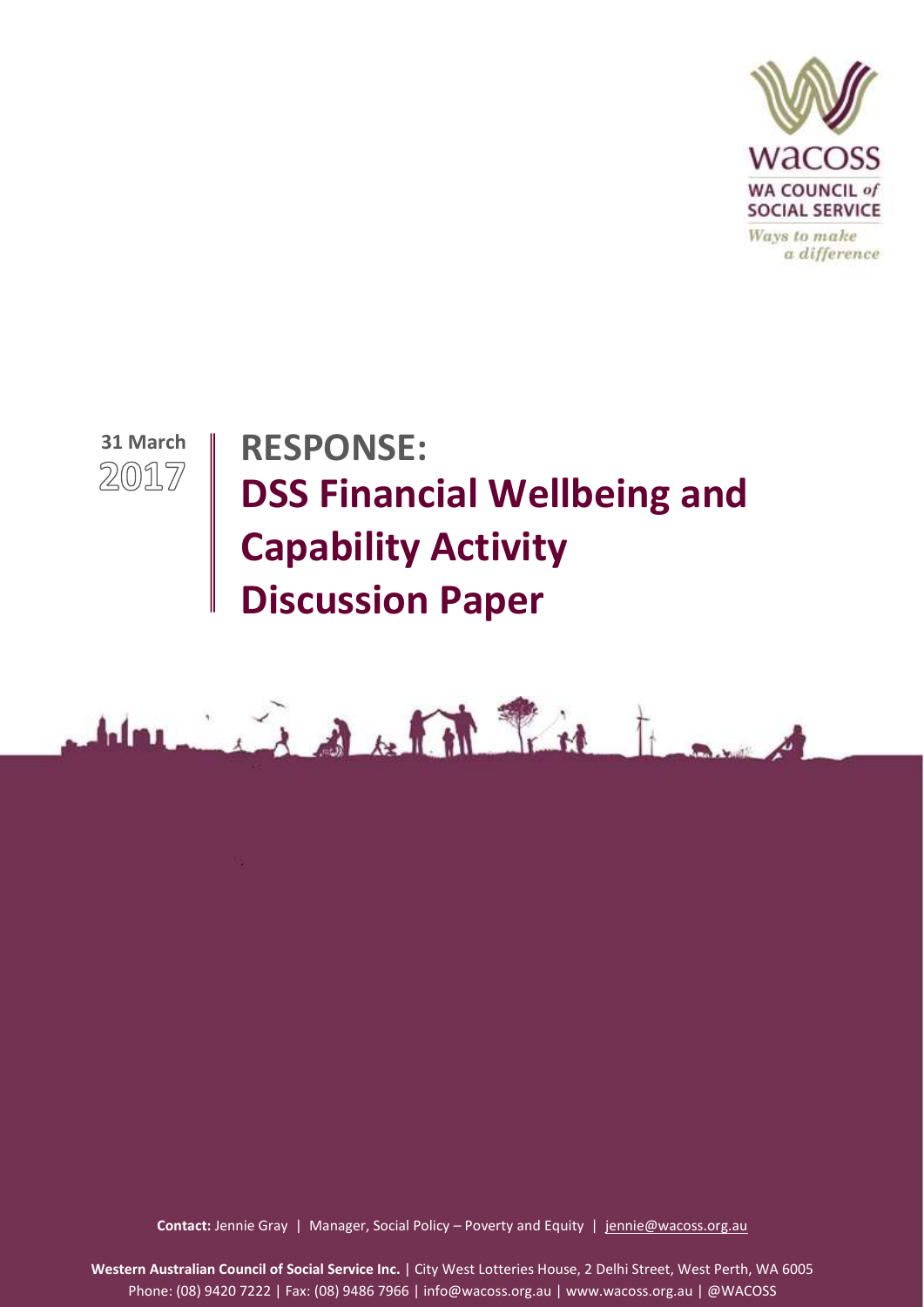

Ways to make a difference



# **RESPONSE: DSS Financial Wellbeing and Capability Activity Discussion Paper**



1 **Contact:** Jennie Gray | Manager, Social Policy – Poverty and Equity | [jennie@wacoss.org.au](mailto:jennie@wacoss.org.au)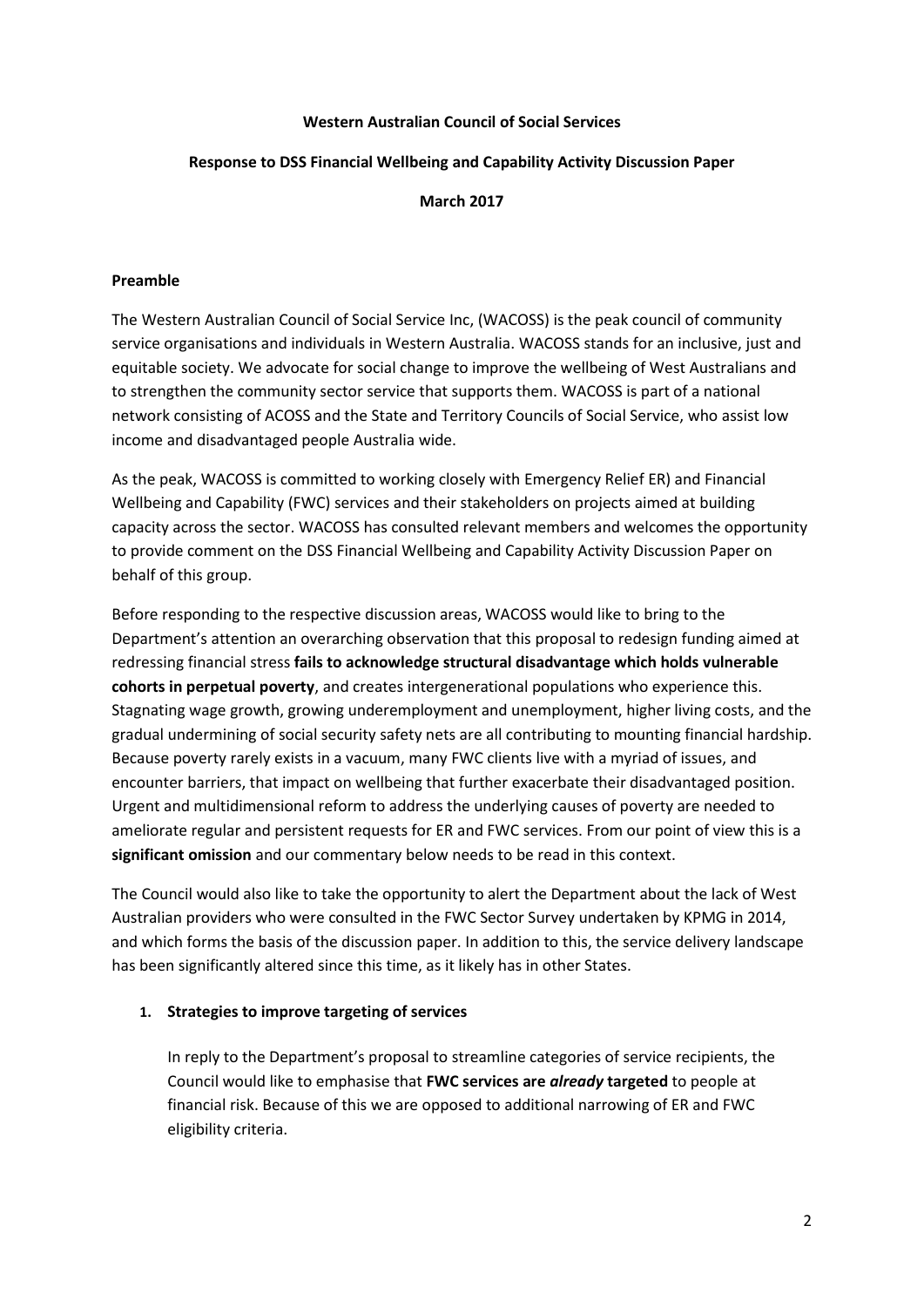# **Western Australian Council of Social Services**

# **Response to DSS Financial Wellbeing and Capability Activity Discussion Paper**

#### **March 2017**

#### **Preamble**

The Western Australian Council of Social Service Inc, (WACOSS) is the peak council of community service organisations and individuals in Western Australia. WACOSS stands for an inclusive, just and equitable society. We advocate for social change to improve the wellbeing of West Australians and to strengthen the community sector service that supports them. WACOSS is part of a national network consisting of ACOSS and the State and Territory Councils of Social Service, who assist low income and disadvantaged people Australia wide.

As the peak, WACOSS is committed to working closely with Emergency Relief ER) and Financial Wellbeing and Capability (FWC) services and their stakeholders on projects aimed at building capacity across the sector. WACOSS has consulted relevant members and welcomes the opportunity to provide comment on the DSS Financial Wellbeing and Capability Activity Discussion Paper on behalf of this group.

Before responding to the respective discussion areas, WACOSS would like to bring to the Department's attention an overarching observation that this proposal to redesign funding aimed at redressing financial stress **fails to acknowledge structural disadvantage which holds vulnerable cohorts in perpetual poverty**, and creates intergenerational populations who experience this. Stagnating wage growth, growing underemployment and unemployment, higher living costs, and the gradual undermining of social security safety nets are all contributing to mounting financial hardship. Because poverty rarely exists in a vacuum, many FWC clients live with a myriad of issues, and encounter barriers, that impact on wellbeing that further exacerbate their disadvantaged position. Urgent and multidimensional reform to address the underlying causes of poverty are needed to ameliorate regular and persistent requests for ER and FWC services. From our point of view this is a **significant omission** and our commentary below needs to be read in this context.

The Council would also like to take the opportunity to alert the Department about the lack of West Australian providers who were consulted in the FWC Sector Survey undertaken by KPMG in 2014, and which forms the basis of the discussion paper. In addition to this, the service delivery landscape has been significantly altered since this time, as it likely has in other States.

#### **1. Strategies to improve targeting of services**

In reply to the Department's proposal to streamline categories of service recipients, the Council would like to emphasise that **FWC services are** *already* **targeted** to people at financial risk. Because of this we are opposed to additional narrowing of ER and FWC eligibility criteria.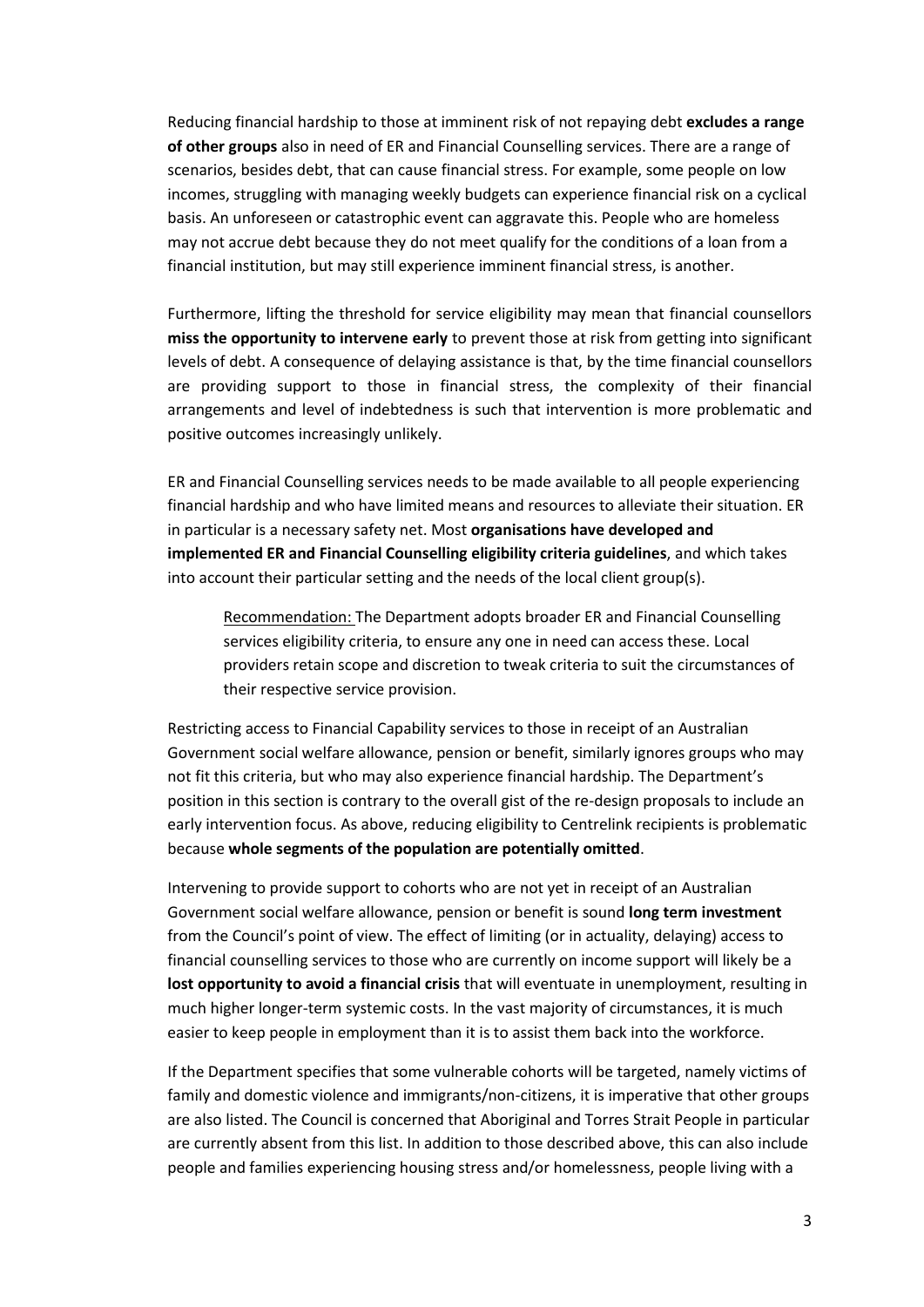Reducing financial hardship to those at imminent risk of not repaying debt **excludes a range of other groups** also in need of ER and Financial Counselling services. There are a range of scenarios, besides debt, that can cause financial stress. For example, some people on low incomes, struggling with managing weekly budgets can experience financial risk on a cyclical basis. An unforeseen or catastrophic event can aggravate this. People who are homeless may not accrue debt because they do not meet qualify for the conditions of a loan from a financial institution, but may still experience imminent financial stress, is another.

Furthermore, lifting the threshold for service eligibility may mean that financial counsellors **miss the opportunity to intervene early** to prevent those at risk from getting into significant levels of debt. A consequence of delaying assistance is that, by the time financial counsellors are providing support to those in financial stress, the complexity of their financial arrangements and level of indebtedness is such that intervention is more problematic and positive outcomes increasingly unlikely.

ER and Financial Counselling services needs to be made available to all people experiencing financial hardship and who have limited means and resources to alleviate their situation. ER in particular is a necessary safety net. Most **organisations have developed and implemented ER and Financial Counselling eligibility criteria guidelines**, and which takes into account their particular setting and the needs of the local client group(s).

Recommendation: The Department adopts broader ER and Financial Counselling services eligibility criteria, to ensure any one in need can access these. Local providers retain scope and discretion to tweak criteria to suit the circumstances of their respective service provision.

Restricting access to Financial Capability services to those in receipt of an Australian Government social welfare allowance, pension or benefit, similarly ignores groups who may not fit this criteria, but who may also experience financial hardship. The Department's position in this section is contrary to the overall gist of the re-design proposals to include an early intervention focus. As above, reducing eligibility to Centrelink recipients is problematic because **whole segments of the population are potentially omitted**.

Intervening to provide support to cohorts who are not yet in receipt of an Australian Government social welfare allowance, pension or benefit is sound **long term investment** from the Council's point of view. The effect of limiting (or in actuality, delaying) access to financial counselling services to those who are currently on income support will likely be a **lost opportunity to avoid a financial crisis** that will eventuate in unemployment, resulting in much higher longer-term systemic costs. In the vast majority of circumstances, it is much easier to keep people in employment than it is to assist them back into the workforce.

If the Department specifies that some vulnerable cohorts will be targeted, namely victims of family and domestic violence and immigrants/non-citizens, it is imperative that other groups are also listed. The Council is concerned that Aboriginal and Torres Strait People in particular are currently absent from this list. In addition to those described above, this can also include people and families experiencing housing stress and/or homelessness, people living with a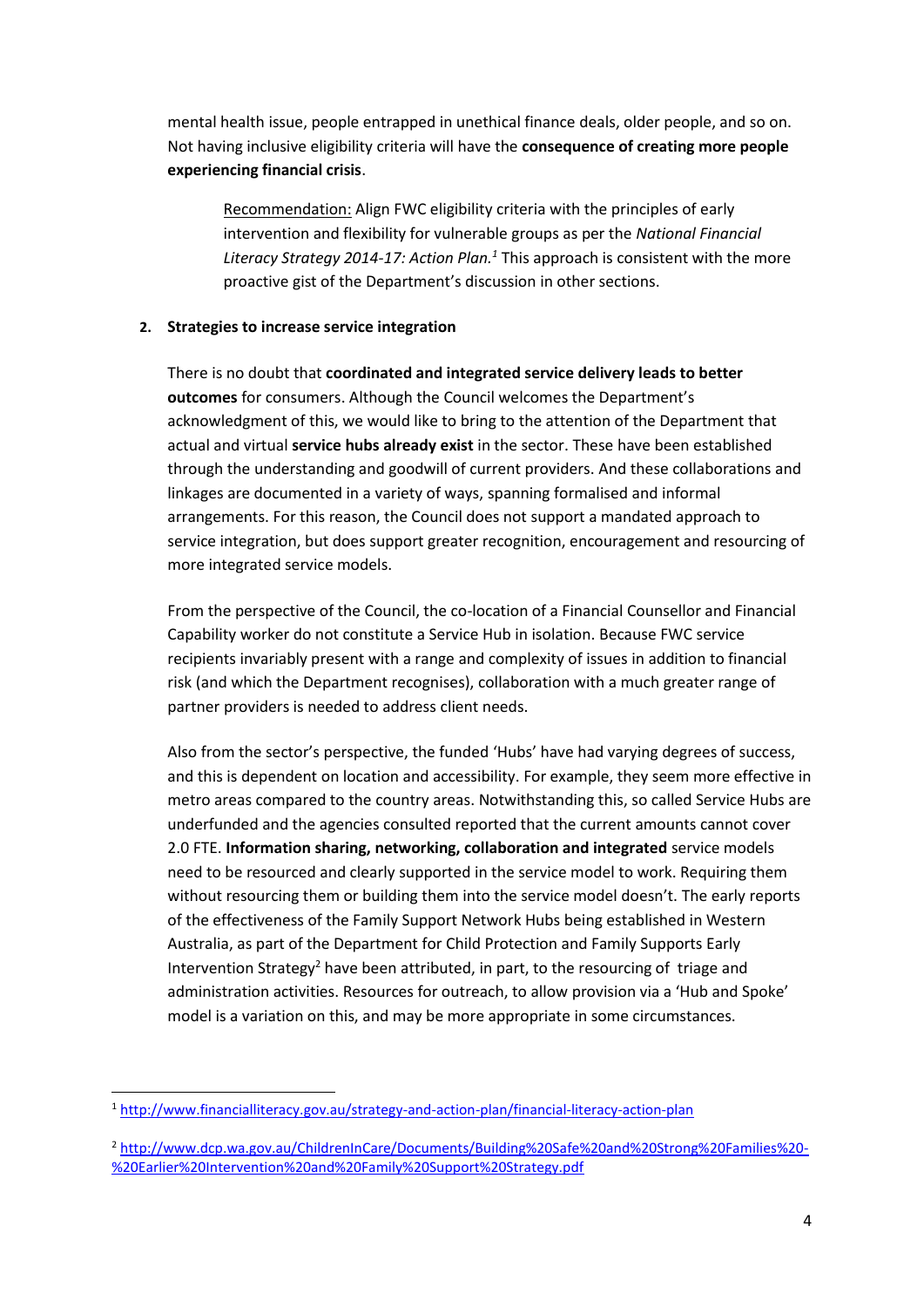mental health issue, people entrapped in unethical finance deals, older people, and so on. Not having inclusive eligibility criteria will have the **consequence of creating more people experiencing financial crisis**.

Recommendation: Align FWC eligibility criteria with the principles of early intervention and flexibility for vulnerable groups as per the *National Financial Literacy Strategy 2014-17: Action Plan.<sup>1</sup>* This approach is consistent with the more proactive gist of the Department's discussion in other sections.

# **2. Strategies to increase service integration**

There is no doubt that **coordinated and integrated service delivery leads to better outcomes** for consumers. Although the Council welcomes the Department's acknowledgment of this, we would like to bring to the attention of the Department that actual and virtual **service hubs already exist** in the sector. These have been established through the understanding and goodwill of current providers. And these collaborations and linkages are documented in a variety of ways, spanning formalised and informal arrangements. For this reason, the Council does not support a mandated approach to service integration, but does support greater recognition, encouragement and resourcing of more integrated service models.

From the perspective of the Council, the co-location of a Financial Counsellor and Financial Capability worker do not constitute a Service Hub in isolation. Because FWC service recipients invariably present with a range and complexity of issues in addition to financial risk (and which the Department recognises), collaboration with a much greater range of partner providers is needed to address client needs.

Also from the sector's perspective, the funded 'Hubs' have had varying degrees of success, and this is dependent on location and accessibility. For example, they seem more effective in metro areas compared to the country areas. Notwithstanding this, so called Service Hubs are underfunded and the agencies consulted reported that the current amounts cannot cover 2.0 FTE. **Information sharing, networking, collaboration and integrated** service models need to be resourced and clearly supported in the service model to work. Requiring them without resourcing them or building them into the service model doesn't. The early reports of the effectiveness of the Family Support Network Hubs being established in Western Australia, as part of the Department for Child Protection and Family Supports Early Intervention Strategy<sup>2</sup> have been attributed, in part, to the resourcing of triage and administration activities. Resources for outreach, to allow provision via a 'Hub and Spoke' model is a variation on this, and may be more appropriate in some circumstances.

 $\overline{a}$ 

<sup>1</sup> <http://www.financialliteracy.gov.au/strategy-and-action-plan/financial-literacy-action-plan>

<sup>2</sup> [http://www.dcp.wa.gov.au/ChildrenInCare/Documents/Building%20Safe%20and%20Strong%20Families%20-](http://www.dcp.wa.gov.au/ChildrenInCare/Documents/Building%20Safe%20and%20Strong%20Families%20-%20Earlier%20Intervention%20and%20Family%20Support%20Strategy.pdf) [%20Earlier%20Intervention%20and%20Family%20Support%20Strategy.pdf](http://www.dcp.wa.gov.au/ChildrenInCare/Documents/Building%20Safe%20and%20Strong%20Families%20-%20Earlier%20Intervention%20and%20Family%20Support%20Strategy.pdf)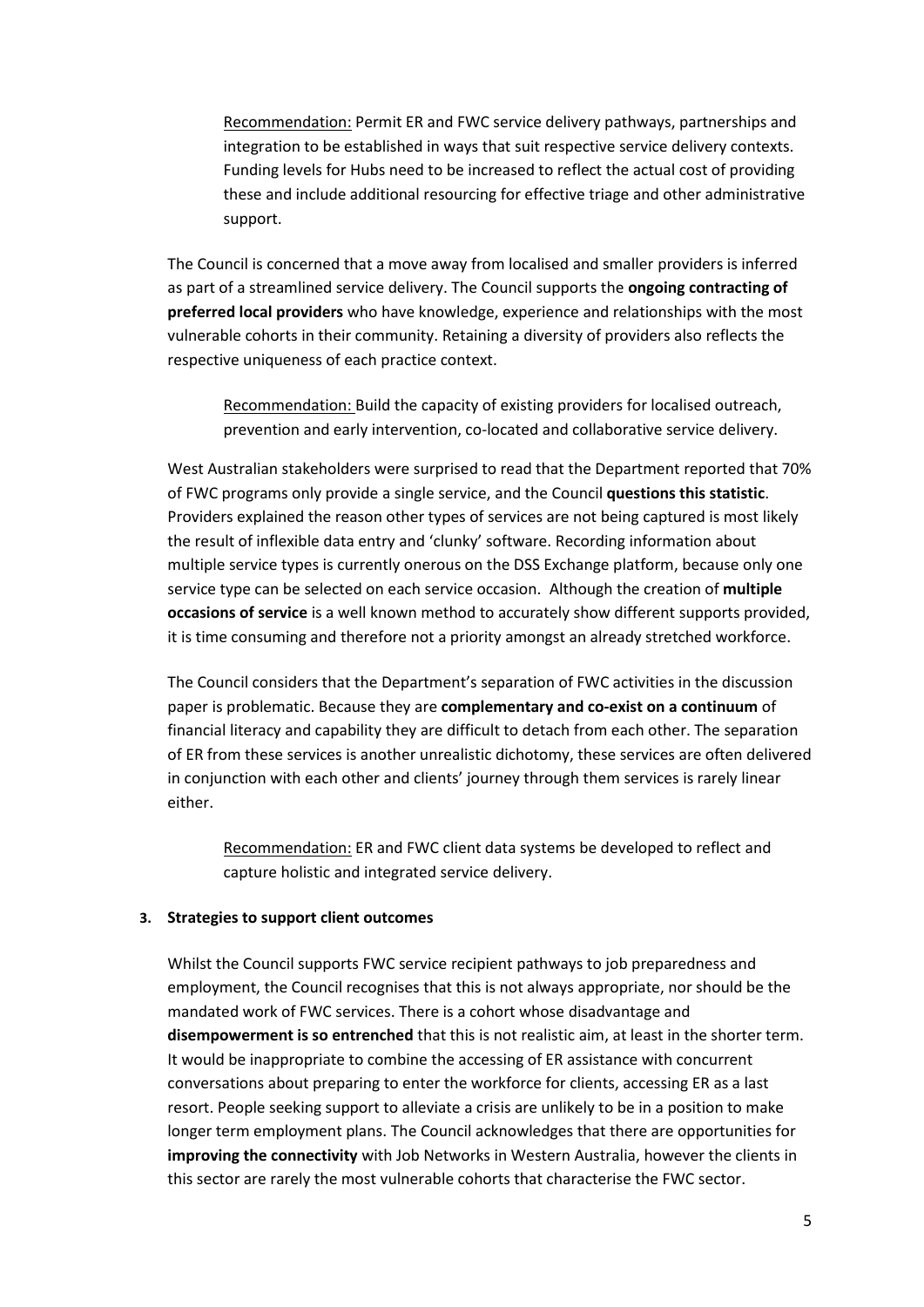Recommendation: Permit ER and FWC service delivery pathways, partnerships and integration to be established in ways that suit respective service delivery contexts. Funding levels for Hubs need to be increased to reflect the actual cost of providing these and include additional resourcing for effective triage and other administrative support.

The Council is concerned that a move away from localised and smaller providers is inferred as part of a streamlined service delivery. The Council supports the **ongoing contracting of preferred local providers** who have knowledge, experience and relationships with the most vulnerable cohorts in their community. Retaining a diversity of providers also reflects the respective uniqueness of each practice context.

Recommendation: Build the capacity of existing providers for localised outreach, prevention and early intervention, co-located and collaborative service delivery.

West Australian stakeholders were surprised to read that the Department reported that 70% of FWC programs only provide a single service, and the Council **questions this statistic**. Providers explained the reason other types of services are not being captured is most likely the result of inflexible data entry and 'clunky' software. Recording information about multiple service types is currently onerous on the DSS Exchange platform, because only one service type can be selected on each service occasion. Although the creation of **multiple occasions of service** is a well known method to accurately show different supports provided, it is time consuming and therefore not a priority amongst an already stretched workforce.

The Council considers that the Department's separation of FWC activities in the discussion paper is problematic. Because they are **complementary and co-exist on a continuum** of financial literacy and capability they are difficult to detach from each other. The separation of ER from these services is another unrealistic dichotomy, these services are often delivered in conjunction with each other and clients' journey through them services is rarely linear either.

Recommendation: ER and FWC client data systems be developed to reflect and capture holistic and integrated service delivery.

# **3. Strategies to support client outcomes**

Whilst the Council supports FWC service recipient pathways to job preparedness and employment, the Council recognises that this is not always appropriate, nor should be the mandated work of FWC services. There is a cohort whose disadvantage and **disempowerment is so entrenched** that this is not realistic aim, at least in the shorter term. It would be inappropriate to combine the accessing of ER assistance with concurrent conversations about preparing to enter the workforce for clients, accessing ER as a last resort. People seeking support to alleviate a crisis are unlikely to be in a position to make longer term employment plans. The Council acknowledges that there are opportunities for **improving the connectivity** with Job Networks in Western Australia, however the clients in this sector are rarely the most vulnerable cohorts that characterise the FWC sector.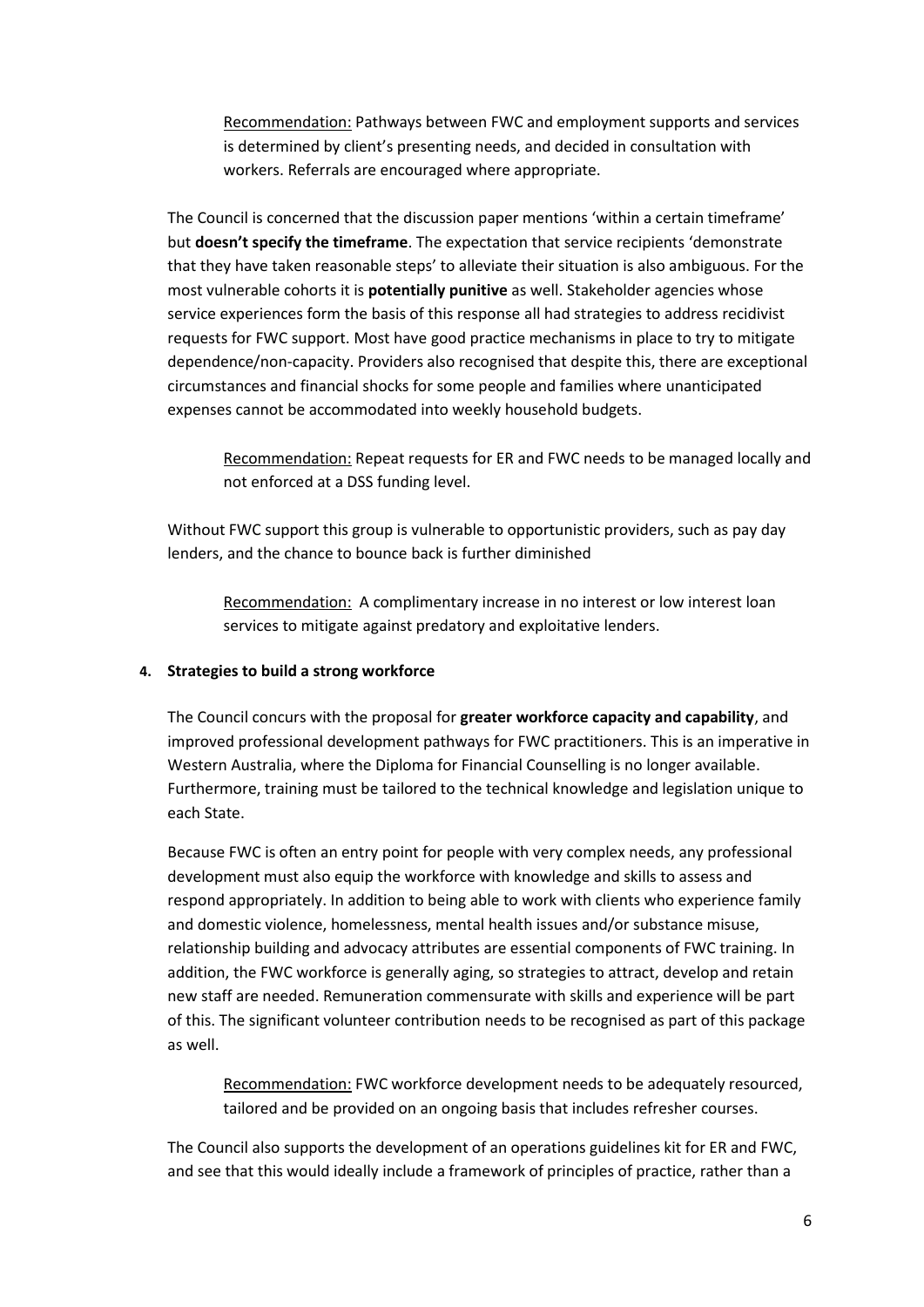Recommendation: Pathways between FWC and employment supports and services is determined by client's presenting needs, and decided in consultation with workers. Referrals are encouraged where appropriate.

The Council is concerned that the discussion paper mentions 'within a certain timeframe' but **doesn't specify the timeframe**. The expectation that service recipients 'demonstrate that they have taken reasonable steps' to alleviate their situation is also ambiguous. For the most vulnerable cohorts it is **potentially punitive** as well. Stakeholder agencies whose service experiences form the basis of this response all had strategies to address recidivist requests for FWC support. Most have good practice mechanisms in place to try to mitigate dependence/non-capacity. Providers also recognised that despite this, there are exceptional circumstances and financial shocks for some people and families where unanticipated expenses cannot be accommodated into weekly household budgets.

Recommendation: Repeat requests for ER and FWC needs to be managed locally and not enforced at a DSS funding level.

Without FWC support this group is vulnerable to opportunistic providers, such as pay day lenders, and the chance to bounce back is further diminished

Recommendation: A complimentary increase in no interest or low interest loan services to mitigate against predatory and exploitative lenders.

# **4. Strategies to build a strong workforce**

The Council concurs with the proposal for **greater workforce capacity and capability**, and improved professional development pathways for FWC practitioners. This is an imperative in Western Australia, where the Diploma for Financial Counselling is no longer available. Furthermore, training must be tailored to the technical knowledge and legislation unique to each State.

Because FWC is often an entry point for people with very complex needs, any professional development must also equip the workforce with knowledge and skills to assess and respond appropriately. In addition to being able to work with clients who experience family and domestic violence, homelessness, mental health issues and/or substance misuse, relationship building and advocacy attributes are essential components of FWC training. In addition, the FWC workforce is generally aging, so strategies to attract, develop and retain new staff are needed. Remuneration commensurate with skills and experience will be part of this. The significant volunteer contribution needs to be recognised as part of this package as well.

Recommendation: FWC workforce development needs to be adequately resourced, tailored and be provided on an ongoing basis that includes refresher courses.

The Council also supports the development of an operations guidelines kit for ER and FWC, and see that this would ideally include a framework of principles of practice, rather than a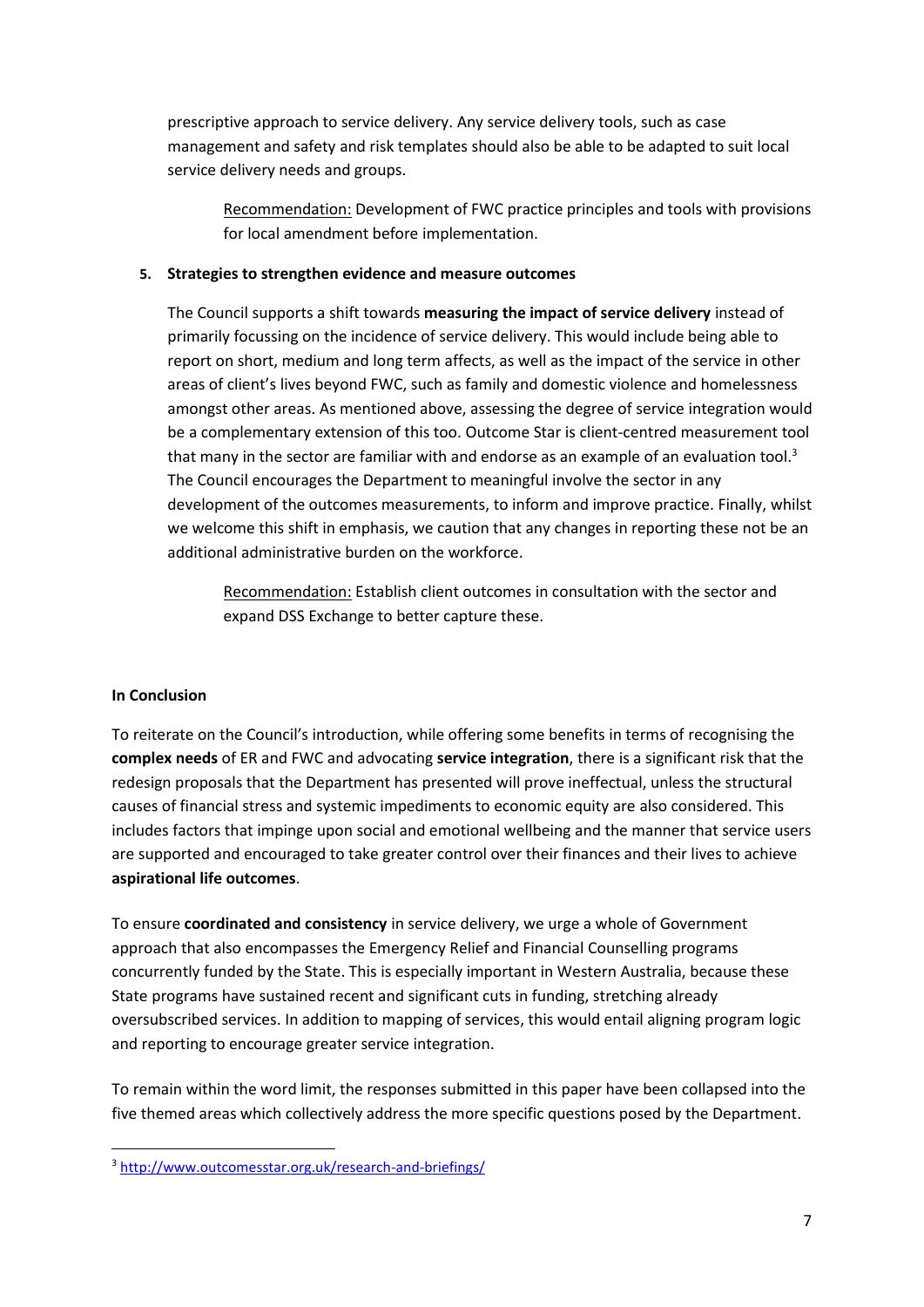prescriptive approach to service delivery. Any service delivery tools, such as case management and safety and risk templates should also be able to be adapted to suit local service delivery needs and groups.

Recommendation: Development of FWC practice principles and tools with provisions for local amendment before implementation.

# **5. Strategies to strengthen evidence and measure outcomes**

The Council supports a shift towards **measuring the impact of service delivery** instead of primarily focussing on the incidence of service delivery. This would include being able to report on short, medium and long term affects, as well as the impact of the service in other areas of client's lives beyond FWC, such as family and domestic violence and homelessness amongst other areas. As mentioned above, assessing the degree of service integration would be a complementary extension of this too. Outcome Star is client-centred measurement tool that many in the sector are familiar with and endorse as an example of an evaluation tool.<sup>3</sup> The Council encourages the Department to meaningful involve the sector in any development of the outcomes measurements, to inform and improve practice. Finally, whilst we welcome this shift in emphasis, we caution that any changes in reporting these not be an additional administrative burden on the workforce.

Recommendation: Establish client outcomes in consultation with the sector and expand DSS Exchange to better capture these.

# **In Conclusion**

**.** 

To reiterate on the Council's introduction, while offering some benefits in terms of recognising the **complex needs** of ER and FWC and advocating **service integration**, there is a significant risk that the redesign proposals that the Department has presented will prove ineffectual, unless the structural causes of financial stress and systemic impediments to economic equity are also considered. This includes factors that impinge upon social and emotional wellbeing and the manner that service users are supported and encouraged to take greater control over their finances and their lives to achieve **aspirational life outcomes**.

To ensure **coordinated and consistency** in service delivery, we urge a whole of Government approach that also encompasses the Emergency Relief and Financial Counselling programs concurrently funded by the State. This is especially important in Western Australia, because these State programs have sustained recent and significant cuts in funding, stretching already oversubscribed services. In addition to mapping of services, this would entail aligning program logic and reporting to encourage greater service integration.

To remain within the word limit, the responses submitted in this paper have been collapsed into the five themed areas which collectively address the more specific questions posed by the Department.

<sup>3</sup> <http://www.outcomesstar.org.uk/research-and-briefings/>